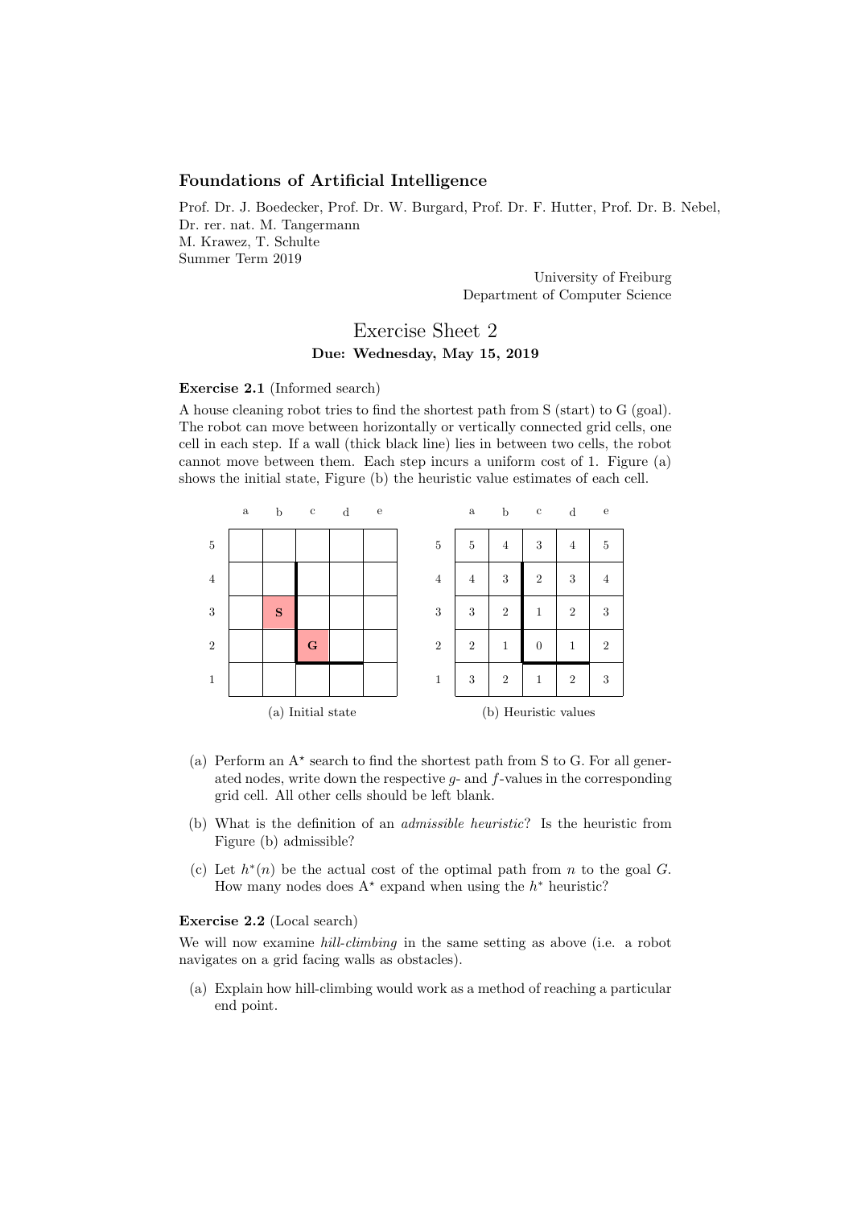# Foundations of Artificial Intelligence

Prof. Dr. J. Boedecker, Prof. Dr. W. Burgard, Prof. Dr. F. Hutter, Prof. Dr. B. Nebel, Dr. rer. nat. M. Tangermann M. Krawez, T. Schulte Summer Term 2019

> University of Freiburg Department of Computer Science

# Exercise Sheet 2 Due: Wednesday, May 15, 2019

#### Exercise 2.1 (Informed search)

A house cleaning robot tries to find the shortest path from S (start) to G (goal). The robot can move between horizontally or vertically connected grid cells, one cell in each step. If a wall (thick black line) lies in between two cells, the robot cannot move between them. Each step incurs a uniform cost of 1. Figure (a) shows the initial state, Figure (b) the heuristic value estimates of each cell.



- (a) Perform an  $A^*$  search to find the shortest path from S to G. For all generated nodes, write down the respective  $g$ - and  $f$ -values in the corresponding grid cell. All other cells should be left blank.
- (b) What is the definition of an admissible heuristic? Is the heuristic from Figure (b) admissible?
- (c) Let  $h^*(n)$  be the actual cost of the optimal path from n to the goal G. How many nodes does  $A^*$  expand when using the  $h^*$  heuristic?

### Exercise 2.2 (Local search)

We will now examine *hill-climbing* in the same setting as above (i.e. a robot navigates on a grid facing walls as obstacles).

(a) Explain how hill-climbing would work as a method of reaching a particular end point.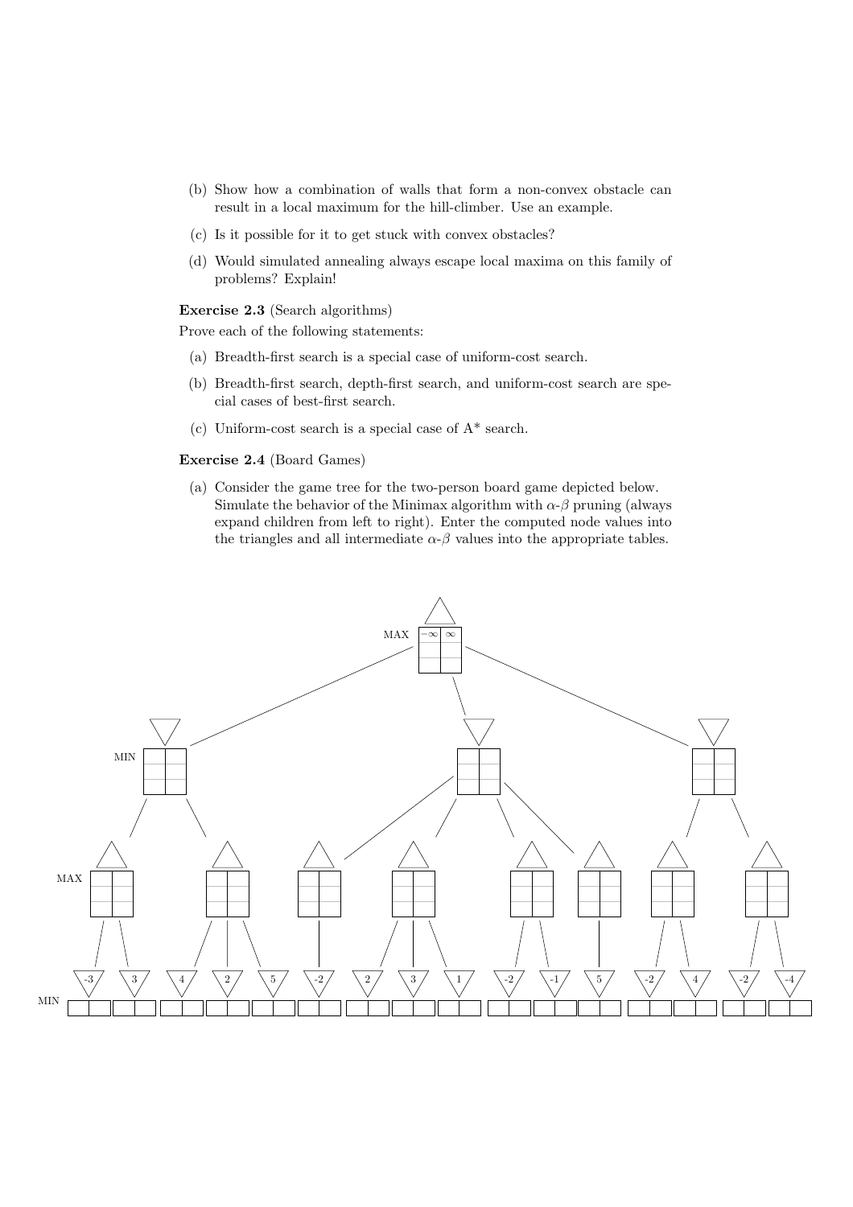- (b) Show how a combination of walls that form a non-convex obstacle can result in a local maximum for the hill-climber. Use an example.
- (c) Is it possible for it to get stuck with convex obstacles?
- (d) Would simulated annealing always escape local maxima on this family of problems? Explain!

### Exercise 2.3 (Search algorithms)

Prove each of the following statements:

- (a) Breadth-first search is a special case of uniform-cost search.
- (b) Breadth-first search, depth-first search, and uniform-cost search are special cases of best-first search.
- (c) Uniform-cost search is a special case of A\* search.

## Exercise 2.4 (Board Games)

(a) Consider the game tree for the two-person board game depicted below. Simulate the behavior of the Minimax algorithm with  $\alpha$ - $\beta$  pruning (always expand children from left to right). Enter the computed node values into the triangles and all intermediate  $\alpha$ - $\beta$  values into the appropriate tables.